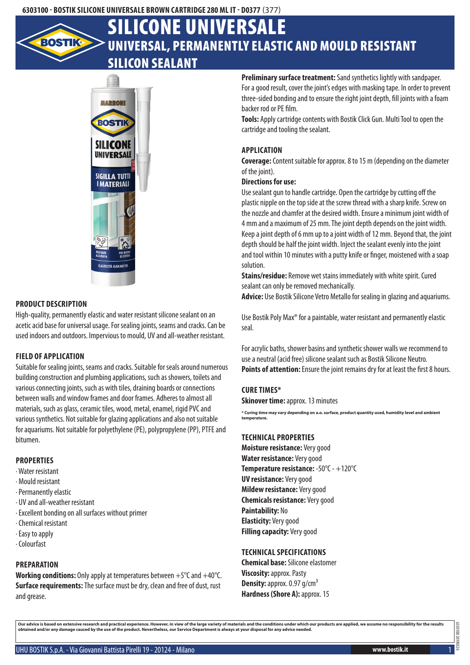### **6303100 - Bostik Silicone Universale Brown Cartridge 280 ml IT - D0377** (377)

# Universal, permanently elastic and mould resistant silicon sealant Silicone Universale



#### **Product description**

High-quality, permanently elastic and water resistant silicone sealant on an acetic acid base for universal usage. For sealing joints, seams and cracks. Can be used indoors and outdoors. Impervious to mould, UV and all-weather resistant.

#### **Field of application**

Suitable for sealing joints, seams and cracks. Suitable for seals around numerous building construction and plumbing applications, such as showers, toilets and various connecting joints, such as with tiles, draining boards or connections between walls and window frames and door frames. Adheres to almost all materials, such as glass, ceramic tiles, wood, metal, enamel, rigid PVC and various synthetics. Not suitable for glazing applications and also not suitable for aquariums. Not suitable for polyethylene (PE), polypropylene (PP), PTFE and bitumen.

#### **Properties**

- · Water resistant
- · Mould resistant
- · Permanently elastic
- · UV and all-weather resistant
- · Excellent bonding on all surfaces without primer
- · Chemical resistant
- · Easy to apply
- · Colourfast

# **Preparation**

**Working conditions:** Only apply at temperatures between +5°C and +40°C. **Surface requirements:** The surface must be dry, clean and free of dust, rust and grease.

**Preliminary surface treatment:** Sand synthetics lightly with sandpaper. For a good result, cover the joint's edges with masking tape. In order to prevent three-sided bonding and to ensure the right joint depth, fill joints with a foam backer rod or PE film.

**Tools:** Apply cartridge contents with Bostik Click Gun. Multi Tool to open the cartridge and tooling the sealant.

## **Application**

**Coverage:** Content suitable for approx. 8 to 15 m (depending on the diameter of the joint).

#### **Directions for use:**

Use sealant gun to handle cartridge. Open the cartridge by cutting off the plastic nipple on the top side at the screw thread with a sharp knife. Screw on the nozzle and chamfer at the desired width. Ensure a minimum joint width of 4 mm and a maximum of 25 mm. The joint depth depends on the joint width. Keep a joint depth of 6 mm up to a joint width of 12 mm. Beyond that, the joint depth should be half the joint width. Inject the sealant evenly into the joint and tool within 10 minutes with a putty knife or finger, moistened with a soap solution.

**Stains/residue:** Remove wet stains immediately with white spirit. Cured sealant can only be removed mechanically.

**Advice:** Use Bostik Silicone Vetro Metallo for sealing in glazing and aquariums.

Use Bostik Poly Max® for a paintable, water resistant and permanently elastic seal.

For acrylic baths, shower basins and synthetic shower walls we recommend to use a neutral (acid free) silicone sealant such as Bostik Silicone Neutro. **Points of attention:** Ensure the joint remains dry for at least the first 8 hours.

#### **Cure times\***

**Skinover time: approx. 13 minutes** 

**\* Curing time may vary depending on a.o. surface, product quantity used, humidity level and ambient temperature.**

#### **Technical properties**

**Moisture resistance:** Very good **Water resistance:** Very good **Temperature resistance:** -50°C - +120°C **UV resistance:** Very good **Mildew resistance:** Very good **Chemicals resistance:** Very good **Paintability:** No **Elasticity:** Very good **Filling capacity:** Very good

# **Technical specifications**

**Chemical base:** Silicone elastomer **Viscosity:** approx. Pasty **Density:** approx. 0.97 g/cm<sup>3</sup> **Hardness (Shore A): approx. 15** 

Our advice is based on extensive research and practical experience. However, in view of the large variety of materials and the conditions under which our products are applied, we assume no responsibility for the results<br>ob

UHU BOSTIK S.p.A. - Via Giovanni Battista Pirelli 19 - 20124 - Milano **www.bostik.it** 1

6303100 20190326

6303100